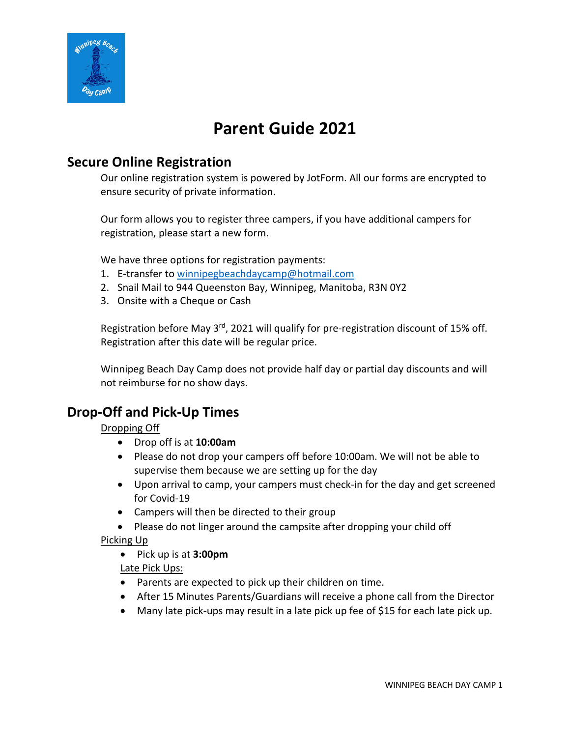

# **Parent Guide 2021**

### **Secure Online Registration**

Our online registration system is powered by JotForm. All our forms are encrypted to ensure security of private information.

Our form allows you to register three campers, if you have additional campers for registration, please start a new form.

We have three options for registration payments:

- 1. E-transfer to winnipegbeachdaycamp@hotmail.com
- 2. Snail Mail to 944 Queenston Bay, Winnipeg, Manitoba, R3N 0Y2
- 3. Onsite with a Cheque or Cash

Registration before May 3<sup>rd</sup>, 2021 will qualify for pre-registration discount of 15% off. Registration after this date will be regular price.

Winnipeg Beach Day Camp does not provide half day or partial day discounts and will not reimburse for no show days.

### **Drop-Off and Pick-Up Times**

Dropping Off

- Drop off is at **10:00am**
- Please do not drop your campers off before 10:00am. We will not be able to supervise them because we are setting up for the day
- Upon arrival to camp, your campers must check-in for the day and get screened for Covid-19
- Campers will then be directed to their group
- Please do not linger around the campsite after dropping your child off

Picking Up

• Pick up is at **3:00pm**

Late Pick Ups:

- Parents are expected to pick up their children on time.
- After 15 Minutes Parents/Guardians will receive a phone call from the Director
- Many late pick-ups may result in a late pick up fee of \$15 for each late pick up.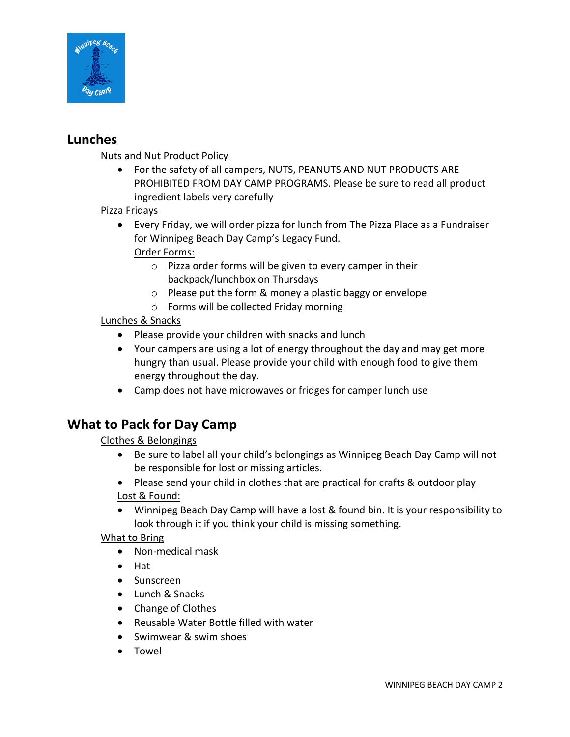

### **Lunches**

Nuts and Nut Product Policy

- For the safety of all campers, NUTS, PEANUTS AND NUT PRODUCTS ARE PROHIBITED FROM DAY CAMP PROGRAMS. Please be sure to read all product ingredient labels very carefully
- Pizza Fridays
	- Every Friday, we will order pizza for lunch from The Pizza Place as a Fundraiser for Winnipeg Beach Day Camp's Legacy Fund. Order Forms:
		- o Pizza order forms will be given to every camper in their backpack/lunchbox on Thursdays
		- o Please put the form & money a plastic baggy or envelope
		- o Forms will be collected Friday morning

Lunches & Snacks

- Please provide your children with snacks and lunch
- Your campers are using a lot of energy throughout the day and may get more hungry than usual. Please provide your child with enough food to give them energy throughout the day.
- Camp does not have microwaves or fridges for camper lunch use

## **What to Pack for Day Camp**

Clothes & Belongings

- Be sure to label all your child's belongings as Winnipeg Beach Day Camp will not be responsible for lost or missing articles.
- Please send your child in clothes that are practical for crafts & outdoor play Lost & Found:
- Winnipeg Beach Day Camp will have a lost & found bin. It is your responsibility to look through it if you think your child is missing something.

What to Bring

- Non-medical mask
- Hat
- Sunscreen
- Lunch & Snacks
- Change of Clothes
- Reusable Water Bottle filled with water
- Swimwear & swim shoes
- Towel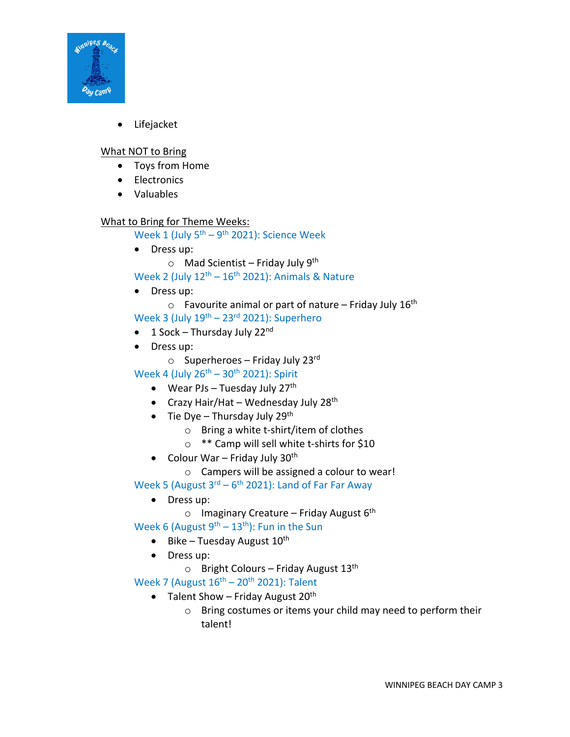

• Lifejacket

#### What NOT to Bring

- Toys from Home
- Electronics
- Valuables

#### What to Bring for Theme Weeks:

Week 1 (July  $5<sup>th</sup> - 9<sup>th</sup>$  2021): Science Week

- Dress up:
	- $\circ$  Mad Scientist Friday July 9<sup>th</sup>

Week 2 (July  $12<sup>th</sup> - 16<sup>th</sup> 2021$ ): Animals & Nature

• Dress up:

 $\circ$  Favourite animal or part of nature – Friday July 16<sup>th</sup>

- Week 3 (July  $19^{th}$   $23^{rd}$  2021): Superhero
- 1 Sock Thursday July  $22^{nd}$
- Dress up:
	- $\circ$  Superheroes Friday July 23rd

Week 4 (July  $26^{th}$  –  $30^{th}$  2021): Spirit

- Wear PJs Tuesday July  $27<sup>th</sup>$
- Crazy Hair/Hat Wednesday July  $28<sup>th</sup>$
- Tie Dye Thursday July 29<sup>th</sup>
	- o Bring a white t-shirt/item of clothes
	- o \*\* Camp will sell white t-shirts for \$10
- Colour War Friday July  $30<sup>th</sup>$ 
	- o Campers will be assigned a colour to wear!

Week 5 (August  $3^{rd}$  – 6<sup>th</sup> 2021): Land of Far Far Away

- Dress up:
	- o Imaginary Creature Friday August  $6<sup>th</sup>$

Week 6 (August  $9^{th}$  – 13<sup>th</sup>): Fun in the Sun

- Bike Tuesday August  $10^{th}$
- Dress up:
	- $\circ$  Bright Colours Friday August 13<sup>th</sup>

Week 7 (August  $16<sup>th</sup> - 20<sup>th</sup>$  2021): Talent

- Talent Show Friday August  $20<sup>th</sup>$ 
	- o Bring costumes or items your child may need to perform their talent!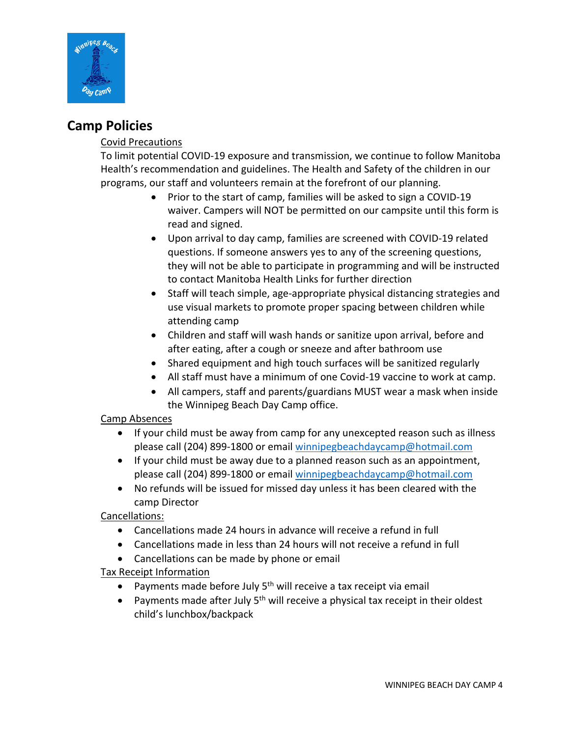

### **Camp Policies**

#### Covid Precautions

To limit potential COVID-19 exposure and transmission, we continue to follow Manitoba Health's recommendation and guidelines. The Health and Safety of the children in our programs, our staff and volunteers remain at the forefront of our planning.

- Prior to the start of camp, families will be asked to sign a COVID-19 waiver. Campers will NOT be permitted on our campsite until this form is read and signed.
- Upon arrival to day camp, families are screened with COVID-19 related questions. If someone answers yes to any of the screening questions, they will not be able to participate in programming and will be instructed to contact Manitoba Health Links for further direction
- Staff will teach simple, age-appropriate physical distancing strategies and use visual markets to promote proper spacing between children while attending camp
- Children and staff will wash hands or sanitize upon arrival, before and after eating, after a cough or sneeze and after bathroom use
- Shared equipment and high touch surfaces will be sanitized regularly
- All staff must have a minimum of one Covid-19 vaccine to work at camp.
- All campers, staff and parents/guardians MUST wear a mask when inside the Winnipeg Beach Day Camp office.

#### Camp Absences

- If your child must be away from camp for any unexcepted reason such as illness please call (204) 899-1800 or email winnipegbeachdaycamp@hotmail.com
- If your child must be away due to a planned reason such as an appointment, please call (204) 899-1800 or email winnipegbeachdaycamp@hotmail.com
- No refunds will be issued for missed day unless it has been cleared with the camp Director

Cancellations:

- Cancellations made 24 hours in advance will receive a refund in full
- Cancellations made in less than 24 hours will not receive a refund in full
- Cancellations can be made by phone or email

#### Tax Receipt Information

- Payments made before July  $5<sup>th</sup>$  will receive a tax receipt via email
- Payments made after July  $5<sup>th</sup>$  will receive a physical tax receipt in their oldest child's lunchbox/backpack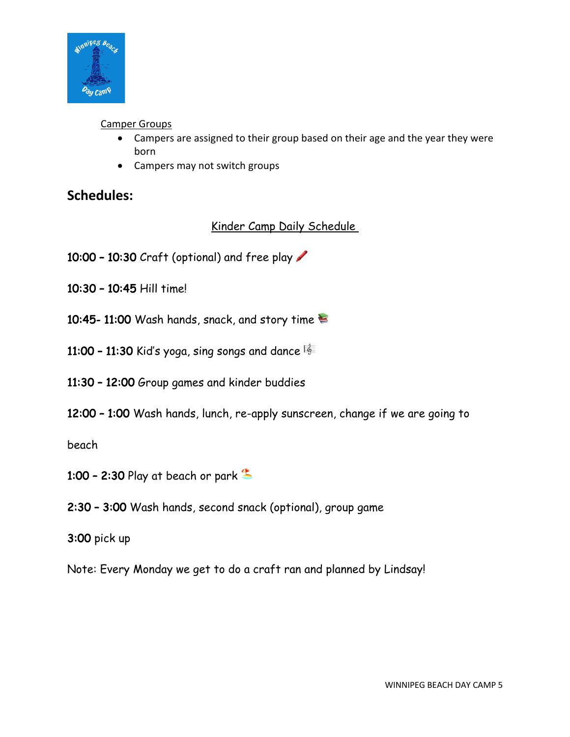

#### Camper Groups

- Campers are assigned to their group based on their age and the year they were born
- Campers may not switch groups

### **Schedules:**

### Kinder Camp Daily Schedule

- 10:00 10:30 Craft (optional) and free play
- 10:30 10:45 Hill time!
- 10:45- 11:00 Wash hands, snack, and story time
- 11:00 11:30 Kid's yoga, sing songs and dance  $\frac{12}{3}$
- 11:30 12:00 Group games and kinder buddies
- 12:00 1:00 Wash hands, lunch, re-apply sunscreen, change if we are going to

beach

- 1:00 2:30 Play at beach or park  $\triangle$
- 2:30 3:00 Wash hands, second snack (optional), group game
- 3:00 pick up
- Note: Every Monday we get to do a craft ran and planned by Lindsay!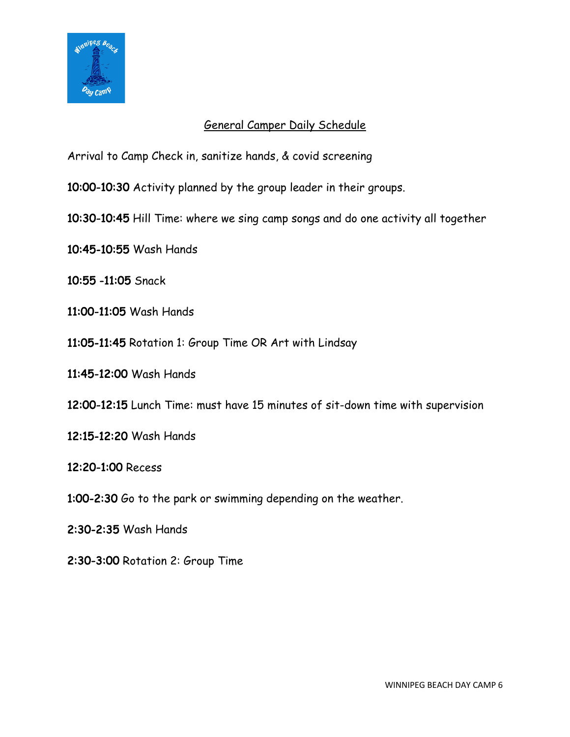

#### General Camper Daily Schedule

Arrival to Camp Check in, sanitize hands, & covid screening

10:00-10:30 Activity planned by the group leader in their groups.

- 10:30-10:45 Hill Time: where we sing camp songs and do one activity all together
- 10:45-10:55 Wash Hands
- 10:55 -11:05 Snack
- 11:00-11:05 Wash Hands
- 11:05-11:45 Rotation 1: Group Time OR Art with Lindsay
- 11:45-12:00 Wash Hands
- 12:00-12:15 Lunch Time: must have 15 minutes of sit-down time with supervision
- 12:15-12:20 Wash Hands
- 12:20-1:00 Recess
- 1:00-2:30 Go to the park or swimming depending on the weather.
- 2:30-2:35 Wash Hands
- 2:30-3:00 Rotation 2: Group Time